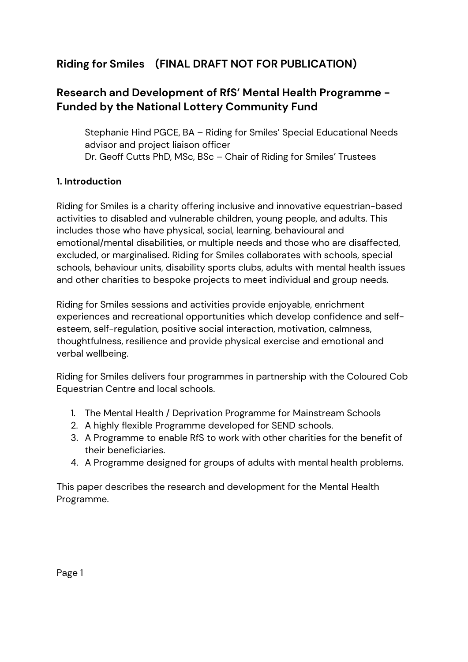# **Riding for Smiles (FINAL DRAFT NOT FOR PUBLICATION)**

# **Research and Development of RfS' Mental Health Programme - Funded by the National Lottery Community Fund**

Stephanie Hind PGCE, BA – Riding for Smiles' Special Educational Needs advisor and project liaison officer Dr. Geoff Cutts PhD, MSc, BSc – Chair of Riding for Smiles' Trustees

## **1. Introduction**

Riding for Smiles is a charity offering inclusive and innovative equestrian-based activities to disabled and vulnerable children, young people, and adults. This includes those who have physical, social, learning, behavioural and emotional/mental disabilities, or multiple needs and those who are disaffected, excluded, or marginalised. Riding for Smiles collaborates with schools, special schools, behaviour units, disability sports clubs, adults with mental health issues and other charities to bespoke projects to meet individual and group needs.

Riding for Smiles sessions and activities provide enjoyable, enrichment experiences and recreational opportunities which develop confidence and selfesteem, self-regulation, positive social interaction, motivation, calmness, thoughtfulness, resilience and provide physical exercise and emotional and verbal wellbeing.

Riding for Smiles delivers four programmes in partnership with the Coloured Cob Equestrian Centre and local schools.

- 1. The Mental Health / Deprivation Programme for Mainstream Schools
- 2. A highly flexible Programme developed for SEND schools.
- 3. A Programme to enable RfS to work with other charities for the benefit of their beneficiaries.
- 4. A Programme designed for groups of adults with mental health problems.

This paper describes the research and development for the Mental Health Programme.

Page 1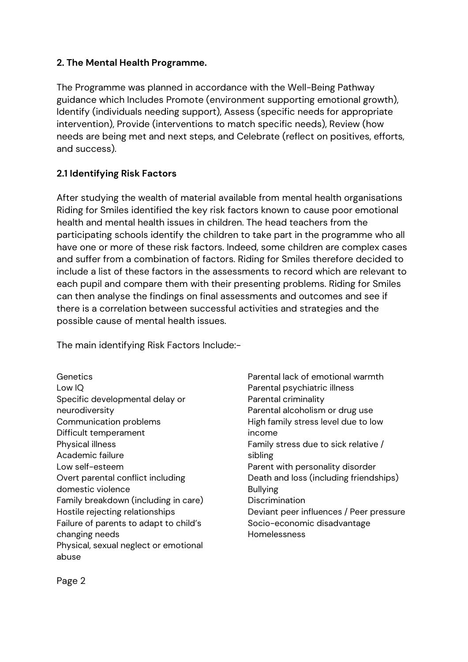#### **2. The Mental Health Programme.**

The Programme was planned in accordance with the Well-Being Pathway guidance which Includes Promote (environment supporting emotional growth), Identify (individuals needing support), Assess (specific needs for appropriate intervention), Provide (interventions to match specific needs), Review (how needs are being met and next steps, and Celebrate (reflect on positives, efforts, and success).

# **2.1 Identifying Risk Factors**

After studying the wealth of material available from mental health organisations Riding for Smiles identified the key risk factors known to cause poor emotional health and mental health issues in children. The head teachers from the participating schools identify the children to take part in the programme who all have one or more of these risk factors. Indeed, some children are complex cases and suffer from a combination of factors. Riding for Smiles therefore decided to include a list of these factors in the assessments to record which are relevant to each pupil and compare them with their presenting problems. Riding for Smiles can then analyse the findings on final assessments and outcomes and see if there is a correlation between successful activities and strategies and the possible cause of mental health issues.

The main identifying Risk Factors Include:-

**Genetics** Low IQ Specific developmental delay or neurodiversity Communication problems Difficult temperament Physical illness Academic failure Low self-esteem Overt parental conflict including domestic violence Family breakdown (including in care) Hostile rejecting relationships Failure of parents to adapt to child's changing needs Physical, sexual neglect or emotional abuse

Parental lack of emotional warmth Parental psychiatric illness Parental criminality Parental alcoholism or drug use High family stress level due to low income Family stress due to sick relative / sibling Parent with personality disorder Death and loss (including friendships) Bullying **Discrimination** Deviant peer influences / Peer pressure Socio-economic disadvantage Homelessness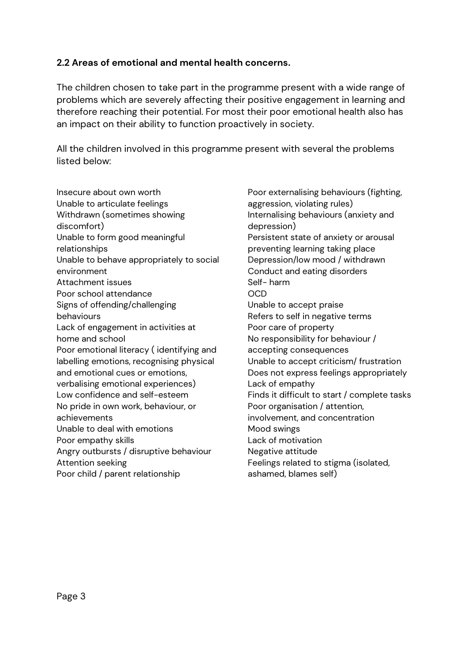#### **2.2 Areas of emotional and mental health concerns.**

The children chosen to take part in the programme present with a wide range of problems which are severely affecting their positive engagement in learning and therefore reaching their potential. For most their poor emotional health also has an impact on their ability to function proactively in society.

All the children involved in this programme present with several the problems listed below:

Insecure about own worth Unable to articulate feelings Withdrawn (sometimes showing discomfort) Unable to form good meaningful relationships Unable to behave appropriately to social environment Attachment issues Poor school attendance Signs of offending/challenging behaviours Lack of engagement in activities at home and school Poor emotional literacy ( identifying and labelling emotions, recognising physical and emotional cues or emotions, verbalising emotional experiences) Low confidence and self-esteem No pride in own work, behaviour, or achievements Unable to deal with emotions Poor empathy skills Angry outbursts / disruptive behaviour Attention seeking Poor child / parent relationship

Poor externalising behaviours (fighting, aggression, violating rules) Internalising behaviours (anxiety and depression) Persistent state of anxiety or arousal preventing learning taking place Depression/low mood / withdrawn Conduct and eating disorders Self- harm OCD Unable to accept praise Refers to self in negative terms Poor care of property No responsibility for behaviour / accepting consequences Unable to accept criticism/ frustration Does not express feelings appropriately Lack of empathy Finds it difficult to start / complete tasks Poor organisation / attention, involvement, and concentration Mood swings Lack of motivation Negative attitude Feelings related to stigma (isolated, ashamed, blames self)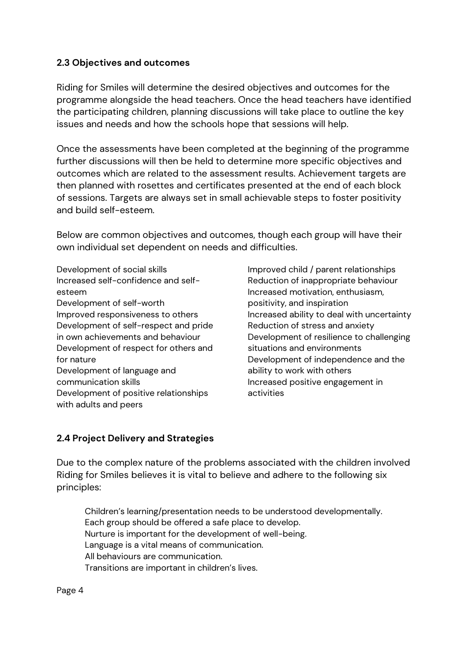#### **2.3 Objectives and outcomes**

Riding for Smiles will determine the desired objectives and outcomes for the programme alongside the head teachers. Once the head teachers have identified the participating children, planning discussions will take place to outline the key issues and needs and how the schools hope that sessions will help.

Once the assessments have been completed at the beginning of the programme further discussions will then be held to determine more specific objectives and outcomes which are related to the assessment results. Achievement targets are then planned with rosettes and certificates presented at the end of each block of sessions. Targets are always set in small achievable steps to foster positivity and build self-esteem.

Below are common objectives and outcomes, though each group will have their own individual set dependent on needs and difficulties.

Development of social skills Increased self-confidence and selfesteem Development of self-worth Improved responsiveness to others Development of self-respect and pride in own achievements and behaviour Development of respect for others and for nature Development of language and communication skills Development of positive relationships with adults and peers

Improved child / parent relationships Reduction of inappropriate behaviour Increased motivation, enthusiasm, positivity, and inspiration Increased ability to deal with uncertainty Reduction of stress and anxiety Development of resilience to challenging situations and environments Development of independence and the ability to work with others Increased positive engagement in activities

#### **2.4 Project Delivery and Strategies**

Due to the complex nature of the problems associated with the children involved Riding for Smiles believes it is vital to believe and adhere to the following six principles:

Children's learning/presentation needs to be understood developmentally. Each group should be offered a safe place to develop. Nurture is important for the development of well-being. Language is a vital means of communication. All behaviours are communication. Transitions are important in children's lives.

Page 4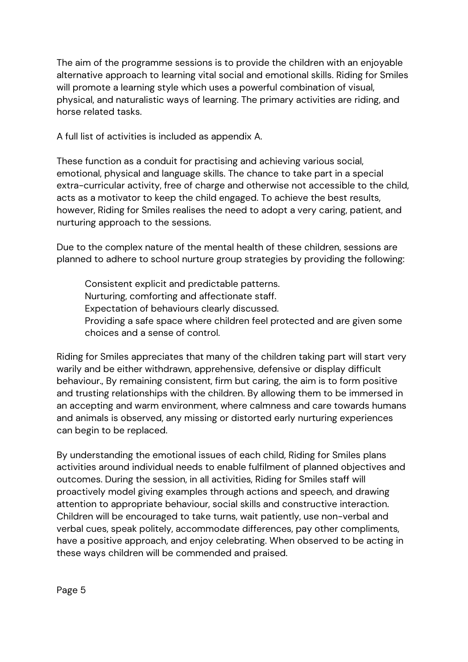The aim of the programme sessions is to provide the children with an enjoyable alternative approach to learning vital social and emotional skills. Riding for Smiles will promote a learning style which uses a powerful combination of visual, physical, and naturalistic ways of learning. The primary activities are riding, and horse related tasks.

A full list of activities is included as appendix A.

These function as a conduit for practising and achieving various social, emotional, physical and language skills. The chance to take part in a special extra-curricular activity, free of charge and otherwise not accessible to the child, acts as a motivator to keep the child engaged. To achieve the best results, however, Riding for Smiles realises the need to adopt a very caring, patient, and nurturing approach to the sessions.

Due to the complex nature of the mental health of these children, sessions are planned to adhere to school nurture group strategies by providing the following:

Consistent explicit and predictable patterns. Nurturing, comforting and affectionate staff. Expectation of behaviours clearly discussed. Providing a safe space where children feel protected and are given some choices and a sense of control.

Riding for Smiles appreciates that many of the children taking part will start very warily and be either withdrawn, apprehensive, defensive or display difficult behaviour., By remaining consistent, firm but caring, the aim is to form positive and trusting relationships with the children. By allowing them to be immersed in an accepting and warm environment, where calmness and care towards humans and animals is observed, any missing or distorted early nurturing experiences can begin to be replaced.

By understanding the emotional issues of each child, Riding for Smiles plans activities around individual needs to enable fulfilment of planned objectives and outcomes. During the session, in all activities, Riding for Smiles staff will proactively model giving examples through actions and speech, and drawing attention to appropriate behaviour, social skills and constructive interaction. Children will be encouraged to take turns, wait patiently, use non-verbal and verbal cues, speak politely, accommodate differences, pay other compliments, have a positive approach, and enjoy celebrating. When observed to be acting in these ways children will be commended and praised.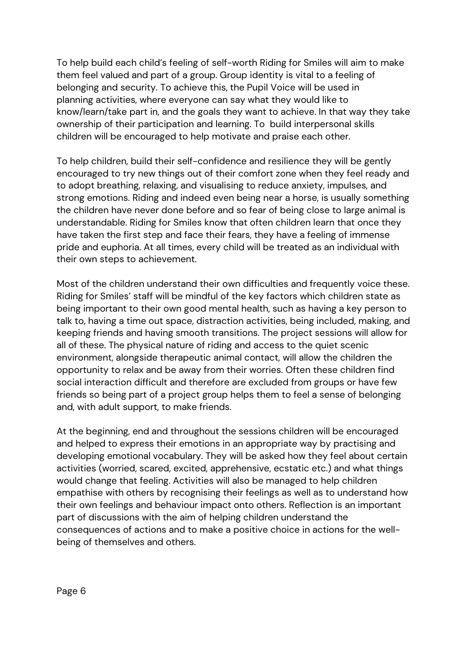To help build each child's feeling of self-worth Riding for Smiles will aim to make them feel valued and part of a group. Group identity is vital to a feeling of belonging and security. To achieve this, the Pupil Voice will be used in planning activities, where everyone can say what they would like to know/learn/take part in, and the goals they want to achieve. In that way they take ownership of their participation and learning. To build interpersonal skills children will be encouraged to help motivate and praise each other.

To help children, build their self-confidence and resilience they will be gently encouraged to try new things out of their comfort zone when they feel ready and to adopt breathing, relaxing, and visualising to reduce anxiety, impulses, and strong emotions. Riding and indeed even being near a horse, is usually something the children have never done before and so fear of being close to large animal is understandable. Riding for Smiles know that often children learn that once they have taken the first step and face their fears, they have a feeling of immense pride and euphoria. At all times, every child will be treated as an individual with their own steps to achievement.

Most of the children understand their own difficulties and frequently voice these. Riding for Smiles' staff will be mindful of the key factors which children state as being important to their own good mental health, such as having a key person to talk to, having a time out space, distraction activities, being included, making, and keeping friends and having smooth transitions. The project sessions will allow for all of these. The physical nature of riding and access to the quiet scenic environment, alongside therapeutic animal contact, will allow the children the opportunity to relax and be away from their worries. Often these children find social interaction difficult and therefore are excluded from groups or have few friends so being part of a project group helps them to feel a sense of belonging and, with adult support, to make friends.

At the beginning, end and throughout the sessions children will be encouraged and helped to express their emotions in an appropriate way by practising and developing emotional vocabulary. They will be asked how they feel about certain activities (worried, scared, excited, apprehensive, ecstatic etc.) and what things would change that feeling. Activities will also be managed to help children empathise with others by recognising their feelings as well as to understand how their own feelings and behaviour impact onto others. Reflection is an important part of discussions with the aim of helping children understand the consequences of actions and to make a positive choice in actions for the wellbeing of themselves and others.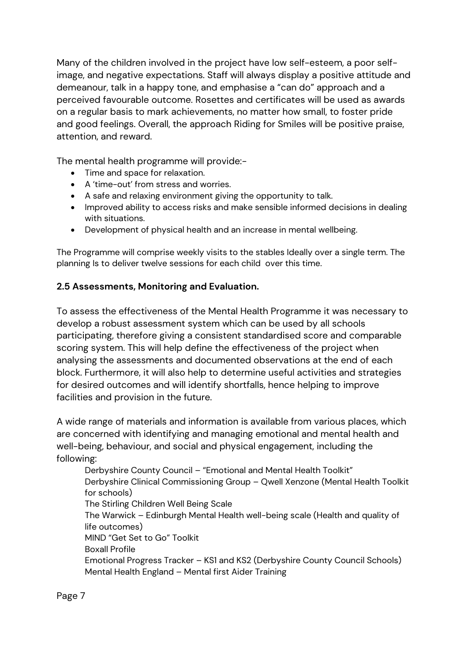Many of the children involved in the project have low self-esteem, a poor selfimage, and negative expectations. Staff will always display a positive attitude and demeanour, talk in a happy tone, and emphasise a "can do" approach and a perceived favourable outcome. Rosettes and certificates will be used as awards on a regular basis to mark achievements, no matter how small, to foster pride and good feelings. Overall, the approach Riding for Smiles will be positive praise, attention, and reward.

The mental health programme will provide:-

- Time and space for relaxation.
- A 'time-out' from stress and worries.
- A safe and relaxing environment giving the opportunity to talk.
- Improved ability to access risks and make sensible informed decisions in dealing with situations.
- Development of physical health and an increase in mental wellbeing.

The Programme will comprise weekly visits to the stables Ideally over a single term. The planning Is to deliver twelve sessions for each child over this time.

## **2.5 Assessments, Monitoring and Evaluation.**

To assess the effectiveness of the Mental Health Programme it was necessary to develop a robust assessment system which can be used by all schools participating, therefore giving a consistent standardised score and comparable scoring system. This will help define the effectiveness of the project when analysing the assessments and documented observations at the end of each block. Furthermore, it will also help to determine useful activities and strategies for desired outcomes and will identify shortfalls, hence helping to improve facilities and provision in the future.

A wide range of materials and information is available from various places, which are concerned with identifying and managing emotional and mental health and well-being, behaviour, and social and physical engagement, including the following:

Derbyshire County Council – "Emotional and Mental Health Toolkit" Derbyshire Clinical Commissioning Group – Qwell Xenzone (Mental Health Toolkit for schools) The Stirling Children Well Being Scale The Warwick – Edinburgh Mental Health well-being scale (Health and quality of life outcomes) MIND "Get Set to Go" Toolkit Boxall Profile Emotional Progress Tracker – KS1 and KS2 (Derbyshire County Council Schools) Mental Health England – Mental first Aider Training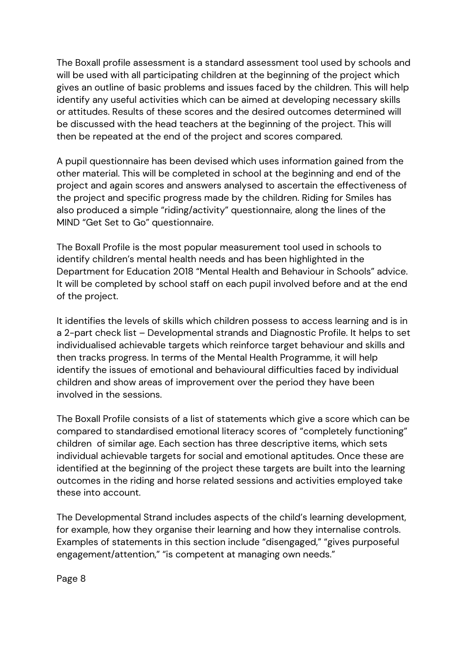The Boxall profile assessment is a standard assessment tool used by schools and will be used with all participating children at the beginning of the project which gives an outline of basic problems and issues faced by the children. This will help identify any useful activities which can be aimed at developing necessary skills or attitudes. Results of these scores and the desired outcomes determined will be discussed with the head teachers at the beginning of the project. This will then be repeated at the end of the project and scores compared.

A pupil questionnaire has been devised which uses information gained from the other material. This will be completed in school at the beginning and end of the project and again scores and answers analysed to ascertain the effectiveness of the project and specific progress made by the children. Riding for Smiles has also produced a simple "riding/activity" questionnaire, along the lines of the MIND "Get Set to Go" questionnaire.

The Boxall Profile is the most popular measurement tool used in schools to identify children's mental health needs and has been highlighted in the Department for Education 2018 "Mental Health and Behaviour in Schools" advice. It will be completed by school staff on each pupil involved before and at the end of the project.

It identifies the levels of skills which children possess to access learning and is in a 2-part check list – Developmental strands and Diagnostic Profile. It helps to set individualised achievable targets which reinforce target behaviour and skills and then tracks progress. In terms of the Mental Health Programme, it will help identify the issues of emotional and behavioural difficulties faced by individual children and show areas of improvement over the period they have been involved in the sessions.

The Boxall Profile consists of a list of statements which give a score which can be compared to standardised emotional literacy scores of "completely functioning" children of similar age. Each section has three descriptive items, which sets individual achievable targets for social and emotional aptitudes. Once these are identified at the beginning of the project these targets are built into the learning outcomes in the riding and horse related sessions and activities employed take these into account.

The Developmental Strand includes aspects of the child's learning development, for example, how they organise their learning and how they internalise controls. Examples of statements in this section include "disengaged," "gives purposeful engagement/attention," "is competent at managing own needs."

Page 8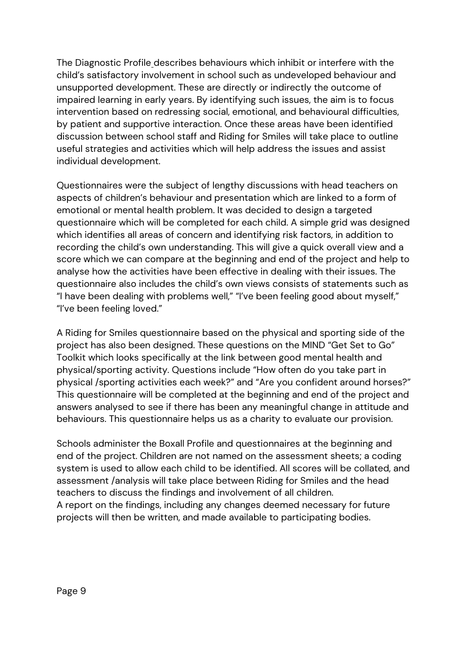The Diagnostic Profile describes behaviours which inhibit or interfere with the child's satisfactory involvement in school such as undeveloped behaviour and unsupported development. These are directly or indirectly the outcome of impaired learning in early years. By identifying such issues, the aim is to focus intervention based on redressing social, emotional, and behavioural difficulties, by patient and supportive interaction. Once these areas have been identified discussion between school staff and Riding for Smiles will take place to outline useful strategies and activities which will help address the issues and assist individual development.

Questionnaires were the subject of lengthy discussions with head teachers on aspects of children's behaviour and presentation which are linked to a form of emotional or mental health problem. It was decided to design a targeted questionnaire which will be completed for each child. A simple grid was designed which identifies all areas of concern and identifying risk factors, in addition to recording the child's own understanding. This will give a quick overall view and a score which we can compare at the beginning and end of the project and help to analyse how the activities have been effective in dealing with their issues. The questionnaire also includes the child's own views consists of statements such as "I have been dealing with problems well," "I've been feeling good about myself," "I've been feeling loved."

A Riding for Smiles questionnaire based on the physical and sporting side of the project has also been designed. These questions on the MIND "Get Set to Go" Toolkit which looks specifically at the link between good mental health and physical/sporting activity. Questions include "How often do you take part in physical /sporting activities each week?" and "Are you confident around horses?" This questionnaire will be completed at the beginning and end of the project and answers analysed to see if there has been any meaningful change in attitude and behaviours. This questionnaire helps us as a charity to evaluate our provision.

Schools administer the Boxall Profile and questionnaires at the beginning and end of the project. Children are not named on the assessment sheets; a coding system is used to allow each child to be identified. All scores will be collated, and assessment /analysis will take place between Riding for Smiles and the head teachers to discuss the findings and involvement of all children. A report on the findings, including any changes deemed necessary for future projects will then be written, and made available to participating bodies.